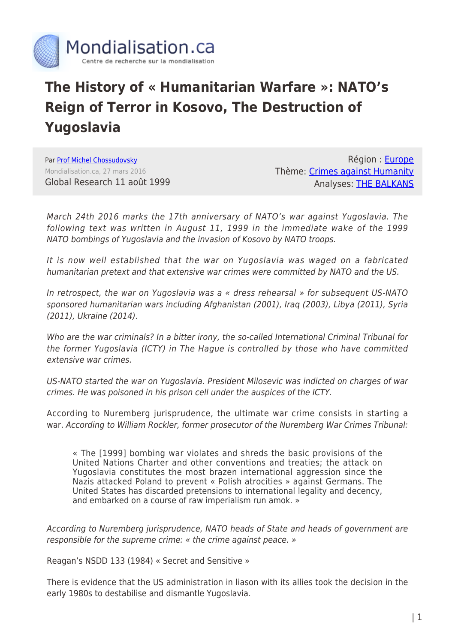

# **The History of « Humanitarian Warfare »: NATO's Reign of Terror in Kosovo, The Destruction of Yugoslavia**

Par [Prof Michel Chossudovsky](https://www.mondialisation.ca/author/michel-chossudovsky) Mondialisation.ca, 27 mars 2016 Global Research 11 août 1999

Région : [Europe](https://www.mondialisation.ca/region/europe) Thème: [Crimes against Humanity](https://www.mondialisation.ca/theme/crimes-against-humanity) Analyses: [THE BALKANS](https://www.mondialisation.ca/indepthreport/the-balkans)

March 24th 2016 marks the 17th anniversary of NATO's war against Yugoslavia. The following text was written in August 11, 1999 in the immediate wake of the 1999 NATO bombings of Yugoslavia and the invasion of Kosovo by NATO troops.

It is now well established that the war on Yugoslavia was waged on a fabricated humanitarian pretext and that extensive war crimes were committed by NATO and the US.

In retrospect, the war on Yugoslavia was a « dress rehearsal » for subsequent US-NATO sponsored humanitarian wars including Afghanistan (2001), Iraq (2003), Libya (2011), Syria (2011), Ukraine (2014).

Who are the war criminals? In a bitter irony, the so-called International Criminal Tribunal for the former Yugoslavia (ICTY) in The Hague is controlled by those who have committed extensive war crimes.

US-NATO started the war on Yugoslavia. President Milosevic was indicted on charges of war crimes. He was poisoned in his prison cell under the auspices of the ICTY.

According to Nuremberg jurisprudence, the ultimate war crime consists in starting a war. According to William Rockler, former prosecutor of the Nuremberg War Crimes Tribunal:

« The [1999] bombing war violates and shreds the basic provisions of the United Nations Charter and other conventions and treaties; the attack on Yugoslavia constitutes the most brazen international aggression since the Nazis attacked Poland to prevent « Polish atrocities » against Germans. The United States has discarded pretensions to international legality and decency, and embarked on a course of raw imperialism run amok. »

According to Nuremberg jurisprudence, NATO heads of State and heads of government are responsible for the supreme crime: « the crime against peace. »

Reagan's NSDD 133 (1984) « Secret and Sensitive »

There is evidence that the US administration in liason with its allies took the decision in the early 1980s to destabilise and dismantle Yugoslavia.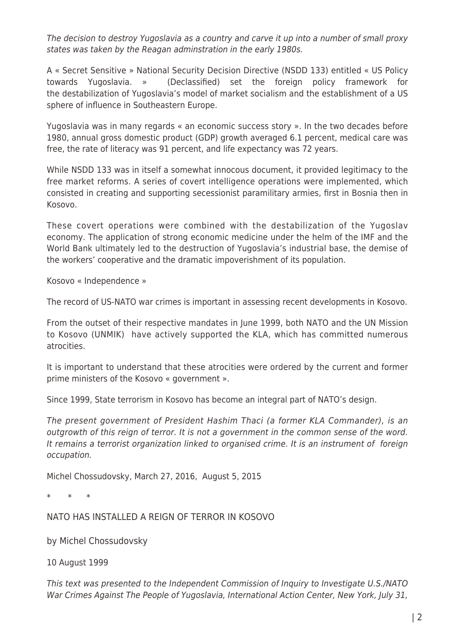The decision to destroy Yugoslavia as a country and carve it up into a number of small proxy states was taken by the Reagan adminstration in the early 1980s.

A « Secret Sensitive » National Security Decision Directive (NSDD 133) entitled « US Policy towards Yugoslavia. » (Declassified) set the foreign policy framework for the destabilization of Yugoslavia's model of market socialism and the establishment of a US sphere of influence in Southeastern Europe.

Yugoslavia was in many regards « an economic success story ». In the two decades before 1980, annual gross domestic product (GDP) growth averaged 6.1 percent, medical care was free, the rate of literacy was 91 percent, and life expectancy was 72 years.

While NSDD 133 was in itself a somewhat innocous document, it provided legitimacy to the free market reforms. A series of covert intelligence operations were implemented, which consisted in creating and supporting secessionist paramilitary armies, first in Bosnia then in Kosovo.

These covert operations were combined with the destabilization of the Yugoslav economy. The application of strong economic medicine under the helm of the IMF and the World Bank ultimately led to the destruction of Yugoslavia's industrial base, the demise of the workers' cooperative and the dramatic impoverishment of its population.

Kosovo « Independence »

The record of US-NATO war crimes is important in assessing recent developments in Kosovo.

From the outset of their respective mandates in June 1999, both NATO and the UN Mission to Kosovo (UNMIK) have actively supported the KLA, which has committed numerous atrocities.

It is important to understand that these atrocities were ordered by the current and former prime ministers of the Kosovo « government ».

Since 1999, State terrorism in Kosovo has become an integral part of NATO's design.

The present government of President Hashim Thaci (a former KLA Commander), is an outgrowth of this reign of terror. It is not a government in the common sense of the word. It remains a terrorist organization linked to organised crime. It is an instrument of foreign occupation.

Michel Chossudovsky, March 27, 2016, August 5, 2015

 $*$  \*

NATO HAS INSTALLED A REIGN OF TERROR IN KOSOVO

by Michel Chossudovsky

10 August 1999

This text was presented to the Independent Commission of Inquiry to Investigate U.S./NATO War Crimes Against The People of Yugoslavia, International Action Center, New York, July 31,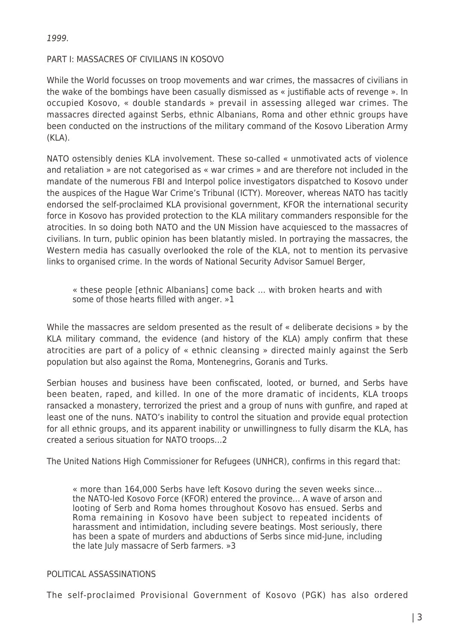1999.

#### PART I: MASSACRES OF CIVILIANS IN KOSOVO

While the World focusses on troop movements and war crimes, the massacres of civilians in the wake of the bombings have been casually dismissed as « justifiable acts of revenge ». In occupied Kosovo, « double standards » prevail in assessing alleged war crimes. The massacres directed against Serbs, ethnic Albanians, Roma and other ethnic groups have been conducted on the instructions of the military command of the Kosovo Liberation Army (KLA).

NATO ostensibly denies KLA involvement. These so-called « unmotivated acts of violence and retaliation » are not categorised as « war crimes » and are therefore not included in the mandate of the numerous FBI and Interpol police investigators dispatched to Kosovo under the auspices of the Hague War Crime's Tribunal (ICTY). Moreover, whereas NATO has tacitly endorsed the self-proclaimed KLA provisional government, KFOR the international security force in Kosovo has provided protection to the KLA military commanders responsible for the atrocities. In so doing both NATO and the UN Mission have acquiesced to the massacres of civilians. In turn, public opinion has been blatantly misled. In portraying the massacres, the Western media has casually overlooked the role of the KLA, not to mention its pervasive links to organised crime. In the words of National Security Advisor Samuel Berger,

« these people [ethnic Albanians] come back … with broken hearts and with some of those hearts filled with anger. »1

While the massacres are seldom presented as the result of « deliberate decisions » by the KLA military command, the evidence (and history of the KLA) amply confirm that these atrocities are part of a policy of « ethnic cleansing » directed mainly against the Serb population but also against the Roma, Montenegrins, Goranis and Turks.

Serbian houses and business have been confiscated, looted, or burned, and Serbs have been beaten, raped, and killed. In one of the more dramatic of incidents, KLA troops ransacked a monastery, terrorized the priest and a group of nuns with gunfire, and raped at least one of the nuns. NATO's inability to control the situation and provide equal protection for all ethnic groups, and its apparent inability or unwillingness to fully disarm the KLA, has created a serious situation for NATO troops…2

The United Nations High Commissioner for Refugees (UNHCR), confirms in this regard that:

« more than 164,000 Serbs have left Kosovo during the seven weeks since… the NATO-led Kosovo Force (KFOR) entered the province… A wave of arson and looting of Serb and Roma homes throughout Kosovo has ensued. Serbs and Roma remaining in Kosovo have been subject to repeated incidents of harassment and intimidation, including severe beatings. Most seriously, there has been a spate of murders and abductions of Serbs since mid-June, including the late July massacre of Serb farmers. »3

# POLITICAL ASSASSINATIONS

The self-proclaimed Provisional Government of Kosovo (PGK) has also ordered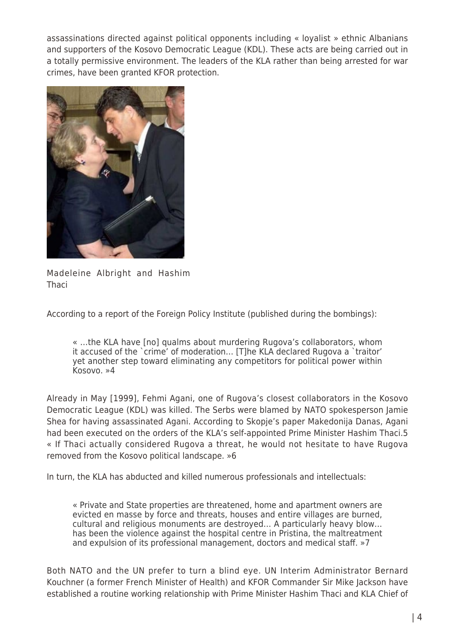assassinations directed against political opponents including « loyalist » ethnic Albanians and supporters of the Kosovo Democratic League (KDL). These acts are being carried out in a totally permissive environment. The leaders of the KLA rather than being arrested for war crimes, have been granted KFOR protection.



Madeleine Albright and Hashim Thaci

According to a report of the Foreign Policy Institute (published during the bombings):

« …the KLA have [no] qualms about murdering Rugova's collaborators, whom it accused of the `crime' of moderation… [T]he KLA declared Rugova a `traitor' yet another step toward eliminating any competitors for political power within Kosovo. »4

Already in May [1999], Fehmi Agani, one of Rugova's closest collaborators in the Kosovo Democratic League (KDL) was killed. The Serbs were blamed by NATO spokesperson Jamie Shea for having assassinated Agani. According to Skopje's paper Makedonija Danas, Agani had been executed on the orders of the KLA's self-appointed Prime Minister Hashim Thaci.5 « If Thaci actually considered Rugova a threat, he would not hesitate to have Rugova removed from the Kosovo political landscape. »6

In turn, the KLA has abducted and killed numerous professionals and intellectuals:

« Private and State properties are threatened, home and apartment owners are evicted en masse by force and threats, houses and entire villages are burned, cultural and religious monuments are destroyed… A particularly heavy blow… has been the violence against the hospital centre in Pristina, the maltreatment and expulsion of its professional management, doctors and medical staff. »7

Both NATO and the UN prefer to turn a blind eye. UN Interim Administrator Bernard Kouchner (a former French Minister of Health) and KFOR Commander Sir Mike Jackson have established a routine working relationship with Prime Minister Hashim Thaci and KLA Chief of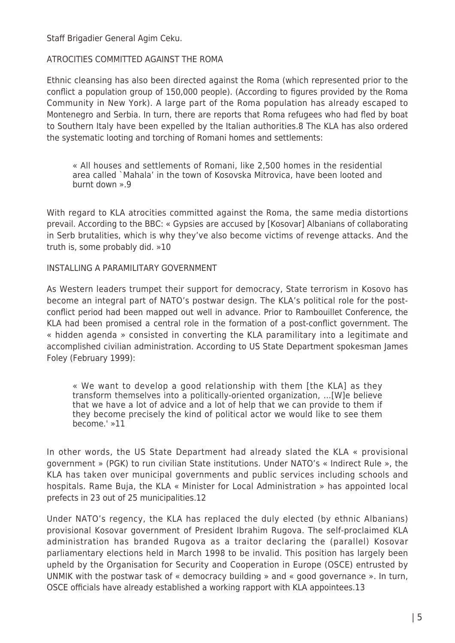Staff Brigadier General Agim Ceku.

ATROCITIES COMMITTED AGAINST THE ROMA

Ethnic cleansing has also been directed against the Roma (which represented prior to the conflict a population group of 150,000 people). (According to figures provided by the Roma Community in New York). A large part of the Roma population has already escaped to Montenegro and Serbia. In turn, there are reports that Roma refugees who had fled by boat to Southern Italy have been expelled by the Italian authorities.8 The KLA has also ordered the systematic looting and torching of Romani homes and settlements:

« All houses and settlements of Romani, like 2,500 homes in the residential area called `Mahala' in the town of Kosovska Mitrovica, have been looted and burnt down ».9

With regard to KLA atrocities committed against the Roma, the same media distortions prevail. According to the BBC: « Gypsies are accused by [Kosovar] Albanians of collaborating in Serb brutalities, which is why they've also become victims of revenge attacks. And the truth is, some probably did. »10

INSTALLING A PARAMILITARY GOVERNMENT

As Western leaders trumpet their support for democracy, State terrorism in Kosovo has become an integral part of NATO's postwar design. The KLA's political role for the postconflict period had been mapped out well in advance. Prior to Rambouillet Conference, the KLA had been promised a central role in the formation of a post-conflict government. The « hidden agenda » consisted in converting the KLA paramilitary into a legitimate and accomplished civilian administration. According to US State Department spokesman James Foley (February 1999):

« We want to develop a good relationship with them [the KLA] as they transform themselves into a politically-oriented organization, …[W]e believe that we have a lot of advice and a lot of help that we can provide to them if they become precisely the kind of political actor we would like to see them become.' »11

In other words, the US State Department had already slated the KLA « provisional government » (PGK) to run civilian State institutions. Under NATO's « Indirect Rule », the KLA has taken over municipal governments and public services including schools and hospitals. Rame Buja, the KLA « Minister for Local Administration » has appointed local prefects in 23 out of 25 municipalities.12

Under NATO's regency, the KLA has replaced the duly elected (by ethnic Albanians) provisional Kosovar government of President Ibrahim Rugova. The self-proclaimed KLA administration has branded Rugova as a traitor declaring the (parallel) Kosovar parliamentary elections held in March 1998 to be invalid. This position has largely been upheld by the Organisation for Security and Cooperation in Europe (OSCE) entrusted by UNMIK with the postwar task of « democracy building » and « good governance ». In turn, OSCE officials have already established a working rapport with KLA appointees.13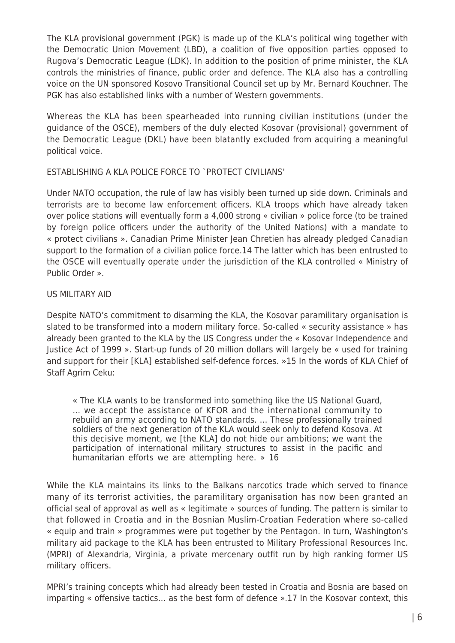The KLA provisional government (PGK) is made up of the KLA's political wing together with the Democratic Union Movement (LBD), a coalition of five opposition parties opposed to Rugova's Democratic League (LDK). In addition to the position of prime minister, the KLA controls the ministries of finance, public order and defence. The KLA also has a controlling voice on the UN sponsored Kosovo Transitional Council set up by Mr. Bernard Kouchner. The PGK has also established links with a number of Western governments.

Whereas the KLA has been spearheaded into running civilian institutions (under the guidance of the OSCE), members of the duly elected Kosovar (provisional) government of the Democratic League (DKL) have been blatantly excluded from acquiring a meaningful political voice.

#### ESTABLISHING A KLA POLICE FORCE TO `PROTECT CIVILIANS'

Under NATO occupation, the rule of law has visibly been turned up side down. Criminals and terrorists are to become law enforcement officers. KLA troops which have already taken over police stations will eventually form a 4,000 strong « civilian » police force (to be trained by foreign police officers under the authority of the United Nations) with a mandate to « protect civilians ». Canadian Prime Minister Jean Chretien has already pledged Canadian support to the formation of a civilian police force.14 The latter which has been entrusted to the OSCE will eventually operate under the jurisdiction of the KLA controlled « Ministry of Public Order ».

# US MILITARY AID

Despite NATO's commitment to disarming the KLA, the Kosovar paramilitary organisation is slated to be transformed into a modern military force. So-called « security assistance » has already been granted to the KLA by the US Congress under the « Kosovar Independence and Justice Act of 1999 ». Start-up funds of 20 million dollars will largely be « used for training and support for their [KLA] established self-defence forces. »15 In the words of KLA Chief of Staff Agrim Ceku:

« The KLA wants to be transformed into something like the US National Guard, … we accept the assistance of KFOR and the international community to rebuild an army according to NATO standards. … These professionally trained soldiers of the next generation of the KLA would seek only to defend Kosova. At this decisive moment, we [the KLA] do not hide our ambitions; we want the participation of international military structures to assist in the pacific and humanitarian efforts we are attempting here. » 16

While the KLA maintains its links to the Balkans narcotics trade which served to finance many of its terrorist activities, the paramilitary organisation has now been granted an official seal of approval as well as « legitimate » sources of funding. The pattern is similar to that followed in Croatia and in the Bosnian Muslim-Croatian Federation where so-called « equip and train » programmes were put together by the Pentagon. In turn, Washington's military aid package to the KLA has been entrusted to Military Professional Resources Inc. (MPRI) of Alexandria, Virginia, a private mercenary outfit run by high ranking former US military officers.

MPRI's training concepts which had already been tested in Croatia and Bosnia are based on imparting « offensive tactics… as the best form of defence ».17 In the Kosovar context, this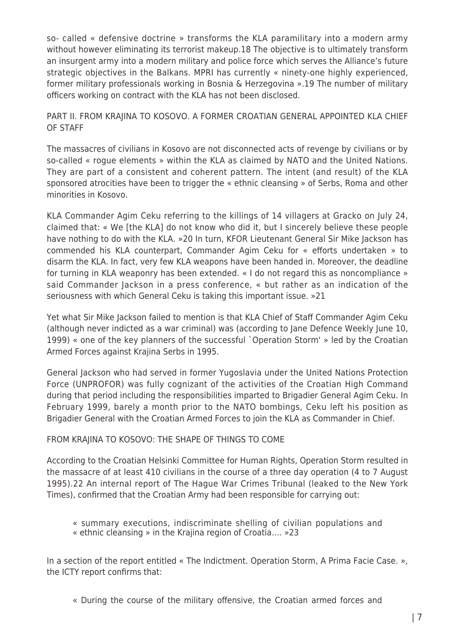so- called « defensive doctrine » transforms the KLA paramilitary into a modern army without however eliminating its terrorist makeup.18 The objective is to ultimately transform an insurgent army into a modern military and police force which serves the Alliance's future strategic objectives in the Balkans. MPRI has currently « ninety-one highly experienced, former military professionals working in Bosnia & Herzegovina ».19 The number of military officers working on contract with the KLA has not been disclosed.

# PART II. FROM KRAJINA TO KOSOVO. A FORMER CROATIAN GENERAL APPOINTED KLA CHIEF OF STAFF

The massacres of civilians in Kosovo are not disconnected acts of revenge by civilians or by so-called « rogue elements » within the KLA as claimed by NATO and the United Nations. They are part of a consistent and coherent pattern. The intent (and result) of the KLA sponsored atrocities have been to trigger the « ethnic cleansing » of Serbs, Roma and other minorities in Kosovo.

KLA Commander Agim Ceku referring to the killings of 14 villagers at Gracko on July 24, claimed that: « We [the KLA] do not know who did it, but I sincerely believe these people have nothing to do with the KLA. »20 In turn, KFOR Lieutenant General Sir Mike Jackson has commended his KLA counterpart, Commander Agim Ceku for « efforts undertaken » to disarm the KLA. In fact, very few KLA weapons have been handed in. Moreover, the deadline for turning in KLA weaponry has been extended. « I do not regard this as noncompliance » said Commander Jackson in a press conference, « but rather as an indication of the seriousness with which General Ceku is taking this important issue. »21

Yet what Sir Mike Jackson failed to mention is that KLA Chief of Staff Commander Agim Ceku (although never indicted as a war criminal) was (according to Jane Defence Weekly June 10, 1999) « one of the key planners of the successful `Operation Storm' » led by the Croatian Armed Forces against Krajina Serbs in 1995.

General Jackson who had served in former Yugoslavia under the United Nations Protection Force (UNPROFOR) was fully cognizant of the activities of the Croatian High Command during that period including the responsibilities imparted to Brigadier General Agim Ceku. In February 1999, barely a month prior to the NATO bombings, Ceku left his position as Brigadier General with the Croatian Armed Forces to join the KLA as Commander in Chief.

# FROM KRAJINA TO KOSOVO: THE SHAPE OF THINGS TO COME

According to the Croatian Helsinki Committee for Human Rights, Operation Storm resulted in the massacre of at least 410 civilians in the course of a three day operation (4 to 7 August 1995).22 An internal report of The Hague War Crimes Tribunal (leaked to the New York Times), confirmed that the Croatian Army had been responsible for carrying out:

- « summary executions, indiscriminate shelling of civilian populations and
- « ethnic cleansing » in the Krajina region of Croatia…. »23

In a section of the report entitled « The Indictment. Operation Storm, A Prima Facie Case. », the ICTY report confirms that:

« During the course of the military offensive, the Croatian armed forces and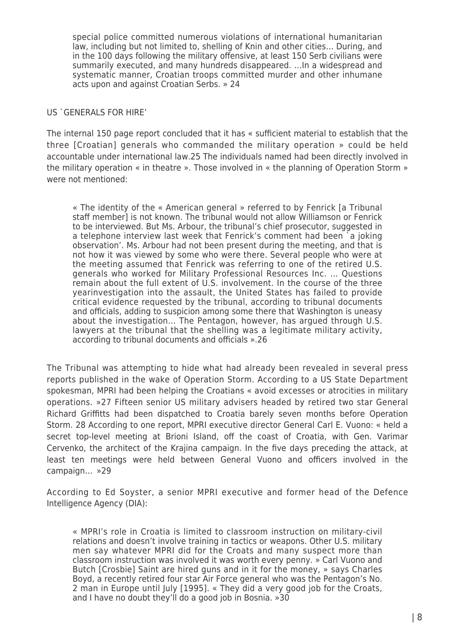special police committed numerous violations of international humanitarian law, including but not limited to, shelling of Knin and other cities… During, and in the 100 days following the military offensive, at least 150 Serb civilians were summarily executed, and many hundreds disappeared. …In a widespread and systematic manner, Croatian troops committed murder and other inhumane acts upon and against Croatian Serbs. » 24

#### US `GENERALS FOR HIRE'

The internal 150 page report concluded that it has « sufficient material to establish that the three [Croatian] generals who commanded the military operation » could be held accountable under international law.25 The individuals named had been directly involved in the military operation « in theatre ». Those involved in « the planning of Operation Storm » were not mentioned:

« The identity of the « American general » referred to by Fenrick [a Tribunal staff member] is not known. The tribunal would not allow Williamson or Fenrick to be interviewed. But Ms. Arbour, the tribunal's chief prosecutor, suggested in a telephone interview last week that Fenrick's comment had been a joking observation'. Ms. Arbour had not been present during the meeting, and that is not how it was viewed by some who were there. Several people who were at the meeting assumed that Fenrick was referring to one of the retired U.S. generals who worked for Military Professional Resources Inc. … Questions remain about the full extent of U.S. involvement. In the course of the three yearinvestigation into the assault, the United States has failed to provide critical evidence requested by the tribunal, according to tribunal documents and officials, adding to suspicion among some there that Washington is uneasy about the investigation... The Pentagon, however, has arqued through U.S. lawyers at the tribunal that the shelling was a legitimate military activity, according to tribunal documents and officials ».26

The Tribunal was attempting to hide what had already been revealed in several press reports published in the wake of Operation Storm. According to a US State Department spokesman, MPRI had been helping the Croatians « avoid excesses or atrocities in military operations. »27 Fifteen senior US military advisers headed by retired two star General Richard Griffitts had been dispatched to Croatia barely seven months before Operation Storm. 28 According to one report, MPRI executive director General Carl E. Vuono: « held a secret top-level meeting at Brioni Island, off the coast of Croatia, with Gen. Varimar Cervenko, the architect of the Krajina campaign. In the five days preceding the attack, at least ten meetings were held between General Vuono and officers involved in the campaign… »29

According to Ed Soyster, a senior MPRI executive and former head of the Defence Intelligence Agency (DIA):

« MPRI's role in Croatia is limited to classroom instruction on military-civil relations and doesn't involve training in tactics or weapons. Other U.S. military men say whatever MPRI did for the Croats and many suspect more than classroom instruction was involved it was worth every penny. » Carl Vuono and Butch [Crosbie] Saint are hired guns and in it for the money, » says Charles Boyd, a recently retired four star Air Force general who was the Pentagon's No. 2 man in Europe until July [1995]. « They did a very good job for the Croats, and I have no doubt they'll do a good job in Bosnia. »30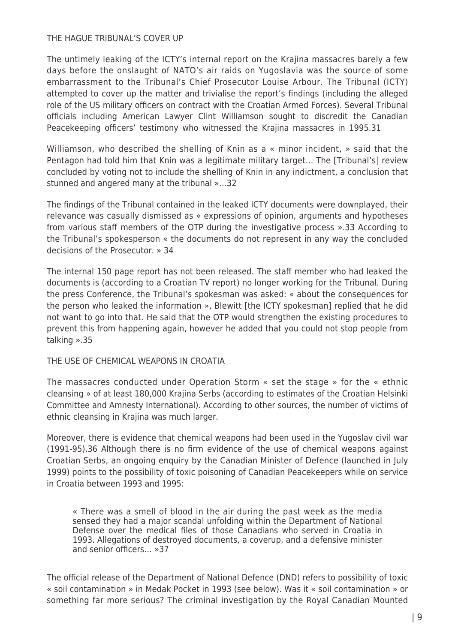THE HAGUE TRIBUNAL'S COVER UP

The untimely leaking of the ICTY's internal report on the Krajina massacres barely a few days before the onslaught of NATO's air raids on Yugoslavia was the source of some embarrassment to the Tribunal's Chief Prosecutor Louise Arbour. The Tribunal (ICTY) attempted to cover up the matter and trivialise the report's findings (including the alleged role of the US military officers on contract with the Croatian Armed Forces). Several Tribunal officials including American Lawyer Clint Williamson sought to discredit the Canadian Peacekeeping officers' testimony who witnessed the Krajina massacres in 1995.31

Williamson, who described the shelling of Knin as a « minor incident, » said that the Pentagon had told him that Knin was a legitimate military target… The [Tribunal's] review concluded by voting not to include the shelling of Knin in any indictment, a conclusion that stunned and angered many at the tribunal »…32

The findings of the Tribunal contained in the leaked ICTY documents were downplayed, their relevance was casually dismissed as « expressions of opinion, arguments and hypotheses from various staff members of the OTP during the investigative process ».33 According to the Tribunal's spokesperson « the documents do not represent in any way the concluded decisions of the Prosecutor. » 34

The internal 150 page report has not been released. The staff member who had leaked the documents is (according to a Croatian TV report) no longer working for the Tribunal. During the press Conference, the Tribunal's spokesman was asked: « about the consequences for the person who leaked the information », Blewitt [the ICTY spokesman] replied that he did not want to go into that. He said that the OTP would strengthen the existing procedures to prevent this from happening again, however he added that you could not stop people from talking ».35

THE USE OF CHEMICAL WEAPONS IN CROATIA

The massacres conducted under Operation Storm « set the stage » for the « ethnic cleansing » of at least 180,000 Krajina Serbs (according to estimates of the Croatian Helsinki Committee and Amnesty International). According to other sources, the number of victims of ethnic cleansing in Krajina was much larger.

Moreover, there is evidence that chemical weapons had been used in the Yugoslav civil war (1991-95).36 Although there is no firm evidence of the use of chemical weapons against Croatian Serbs, an ongoing enquiry by the Canadian Minister of Defence (launched in July 1999) points to the possibility of toxic poisoning of Canadian Peacekeepers while on service in Croatia between 1993 and 1995:

« There was a smell of blood in the air during the past week as the media sensed they had a major scandal unfolding within the Department of National Defense over the medical files of those Canadians who served in Croatia in 1993. Allegations of destroyed documents, a coverup, and a defensive minister and senior officers… »37

The official release of the Department of National Defence (DND) refers to possibility of toxic « soil contamination » in Medak Pocket in 1993 (see below). Was it « soil contamination » or something far more serious? The criminal investigation by the Royal Canadian Mounted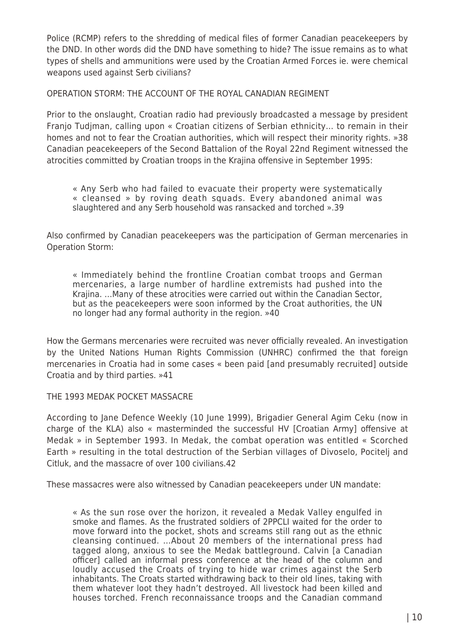Police (RCMP) refers to the shredding of medical files of former Canadian peacekeepers by the DND. In other words did the DND have something to hide? The issue remains as to what types of shells and ammunitions were used by the Croatian Armed Forces ie. were chemical weapons used against Serb civilians?

OPERATION STORM: THE ACCOUNT OF THE ROYAL CANADIAN REGIMENT

Prior to the onslaught, Croatian radio had previously broadcasted a message by president Franjo Tudjman, calling upon « Croatian citizens of Serbian ethnicity… to remain in their homes and not to fear the Croatian authorities, which will respect their minority rights. »38 Canadian peacekeepers of the Second Battalion of the Royal 22nd Regiment witnessed the atrocities committed by Croatian troops in the Krajina offensive in September 1995:

« Any Serb who had failed to evacuate their property were systematically « cleansed » by roving death squads. Every abandoned animal was slaughtered and any Serb household was ransacked and torched ».39

Also confirmed by Canadian peacekeepers was the participation of German mercenaries in Operation Storm:

« Immediately behind the frontline Croatian combat troops and German mercenaries, a large number of hardline extremists had pushed into the Krajina. …Many of these atrocities were carried out within the Canadian Sector, but as the peacekeepers were soon informed by the Croat authorities, the UN no longer had any formal authority in the region. »40

How the Germans mercenaries were recruited was never officially revealed. An investigation by the United Nations Human Rights Commission (UNHRC) confirmed the that foreign mercenaries in Croatia had in some cases « been paid [and presumably recruited] outside Croatia and by third parties. »41

THE 1993 MEDAK POCKET MASSACRE

According to Jane Defence Weekly (10 June 1999), Brigadier General Agim Ceku (now in charge of the KLA) also « masterminded the successful HV [Croatian Army] offensive at Medak » in September 1993. In Medak, the combat operation was entitled « Scorched Earth » resulting in the total destruction of the Serbian villages of Divoselo, Pocitelj and Citluk, and the massacre of over 100 civilians.42

These massacres were also witnessed by Canadian peacekeepers under UN mandate:

« As the sun rose over the horizon, it revealed a Medak Valley engulfed in smoke and flames. As the frustrated soldiers of 2PPCLI waited for the order to move forward into the pocket, shots and screams still rang out as the ethnic cleansing continued. …About 20 members of the international press had tagged along, anxious to see the Medak battleground. Calvin [a Canadian officer] called an informal press conference at the head of the column and loudly accused the Croats of trying to hide war crimes against the Serb inhabitants. The Croats started withdrawing back to their old lines, taking with them whatever loot they hadn't destroyed. All livestock had been killed and houses torched. French reconnaissance troops and the Canadian command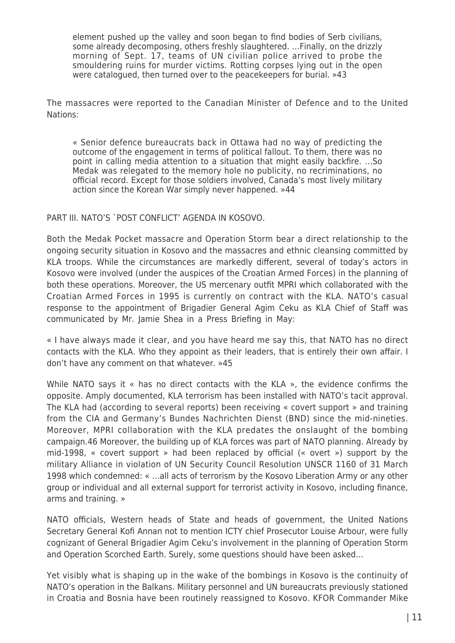element pushed up the valley and soon began to find bodies of Serb civilians, some already decomposing, others freshly slaughtered. …Finally, on the drizzly morning of Sept. 17, teams of UN civilian police arrived to probe the smouldering ruins for murder victims. Rotting corpses lying out in the open were catalogued, then turned over to the peacekeepers for burial. »43

The massacres were reported to the Canadian Minister of Defence and to the United Nations:

« Senior defence bureaucrats back in Ottawa had no way of predicting the outcome of the engagement in terms of political fallout. To them, there was no point in calling media attention to a situation that might easily backfire. …So Medak was relegated to the memory hole no publicity, no recriminations, no official record. Except for those soldiers involved, Canada's most lively military action since the Korean War simply never happened. »44

#### PART III. NATO'S `POST CONFLICT' AGENDA IN KOSOVO.

Both the Medak Pocket massacre and Operation Storm bear a direct relationship to the ongoing security situation in Kosovo and the massacres and ethnic cleansing committed by KLA troops. While the circumstances are markedly different, several of today's actors in Kosovo were involved (under the auspices of the Croatian Armed Forces) in the planning of both these operations. Moreover, the US mercenary outfit MPRI which collaborated with the Croatian Armed Forces in 1995 is currently on contract with the KLA. NATO's casual response to the appointment of Brigadier General Agim Ceku as KLA Chief of Staff was communicated by Mr. Jamie Shea in a Press Briefing in May:

« I have always made it clear, and you have heard me say this, that NATO has no direct contacts with the KLA. Who they appoint as their leaders, that is entirely their own affair. I don't have any comment on that whatever. »45

While NATO says it « has no direct contacts with the KLA », the evidence confirms the opposite. Amply documented, KLA terrorism has been installed with NATO's tacit approval. The KLA had (according to several reports) been receiving « covert support » and training from the CIA and Germany's Bundes Nachrichten Dienst (BND) since the mid-nineties. Moreover, MPRI collaboration with the KLA predates the onslaught of the bombing campaign.46 Moreover, the building up of KLA forces was part of NATO planning. Already by mid-1998, « covert support » had been replaced by official (« overt ») support by the military Alliance in violation of UN Security Council Resolution UNSCR 1160 of 31 March 1998 which condemned: « …all acts of terrorism by the Kosovo Liberation Army or any other group or individual and all external support for terrorist activity in Kosovo, including finance, arms and training. »

NATO officials, Western heads of State and heads of government, the United Nations Secretary General Kofi Annan not to mention ICTY chief Prosecutor Louise Arbour, were fully cognizant of General Brigadier Agim Ceku's involvement in the planning of Operation Storm and Operation Scorched Earth. Surely, some questions should have been asked…

Yet visibly what is shaping up in the wake of the bombings in Kosovo is the continuity of NATO's operation in the Balkans. Military personnel and UN bureaucrats previously stationed in Croatia and Bosnia have been routinely reassigned to Kosovo. KFOR Commander Mike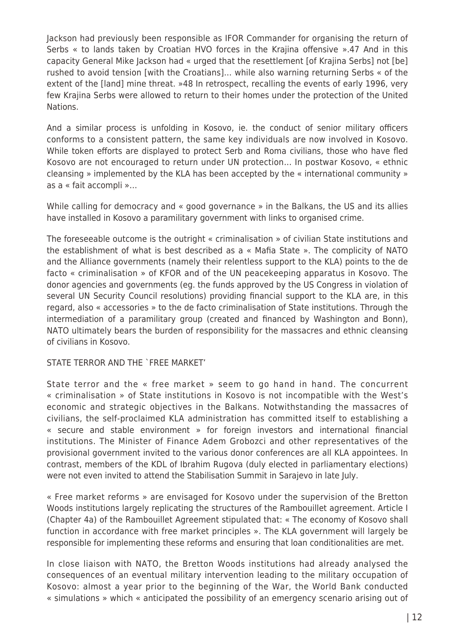Jackson had previously been responsible as IFOR Commander for organising the return of Serbs « to lands taken by Croatian HVO forces in the Krajina offensive ».47 And in this capacity General Mike Jackson had « urged that the resettlement [of Krajina Serbs] not [be] rushed to avoid tension [with the Croatians]… while also warning returning Serbs « of the extent of the [land] mine threat. »48 In retrospect, recalling the events of early 1996, very few Krajina Serbs were allowed to return to their homes under the protection of the United Nations.

And a similar process is unfolding in Kosovo, ie. the conduct of senior military officers conforms to a consistent pattern, the same key individuals are now involved in Kosovo. While token efforts are displayed to protect Serb and Roma civilians, those who have fled Kosovo are not encouraged to return under UN protection… In postwar Kosovo, « ethnic cleansing » implemented by the KLA has been accepted by the « international community » as a « fait accompli »…

While calling for democracy and « good governance » in the Balkans, the US and its allies have installed in Kosovo a paramilitary government with links to organised crime.

The foreseeable outcome is the outright « criminalisation » of civilian State institutions and the establishment of what is best described as a « Mafia State ». The complicity of NATO and the Alliance governments (namely their relentless support to the KLA) points to the de facto « criminalisation » of KFOR and of the UN peacekeeping apparatus in Kosovo. The donor agencies and governments (eg. the funds approved by the US Congress in violation of several UN Security Council resolutions) providing financial support to the KLA are, in this regard, also « accessories » to the de facto criminalisation of State institutions. Through the intermediation of a paramilitary group (created and financed by Washington and Bonn), NATO ultimately bears the burden of responsibility for the massacres and ethnic cleansing of civilians in Kosovo.

# STATE TERROR AND THE `FREE MARKET'

State terror and the « free market » seem to go hand in hand. The concurrent « criminalisation » of State institutions in Kosovo is not incompatible with the West's economic and strategic objectives in the Balkans. Notwithstanding the massacres of civilians, the self-proclaimed KLA administration has committed itself to establishing a « secure and stable environment » for foreign investors and international financial institutions. The Minister of Finance Adem Grobozci and other representatives of the provisional government invited to the various donor conferences are all KLA appointees. In contrast, members of the KDL of Ibrahim Rugova (duly elected in parliamentary elections) were not even invited to attend the Stabilisation Summit in Sarajevo in late July.

« Free market reforms » are envisaged for Kosovo under the supervision of the Bretton Woods institutions largely replicating the structures of the Rambouillet agreement. Article I (Chapter 4a) of the Rambouillet Agreement stipulated that: « The economy of Kosovo shall function in accordance with free market principles ». The KLA government will largely be responsible for implementing these reforms and ensuring that loan conditionalities are met.

In close liaison with NATO, the Bretton Woods institutions had already analysed the consequences of an eventual military intervention leading to the military occupation of Kosovo: almost a year prior to the beginning of the War, the World Bank conducted « simulations » which « anticipated the possibility of an emergency scenario arising out of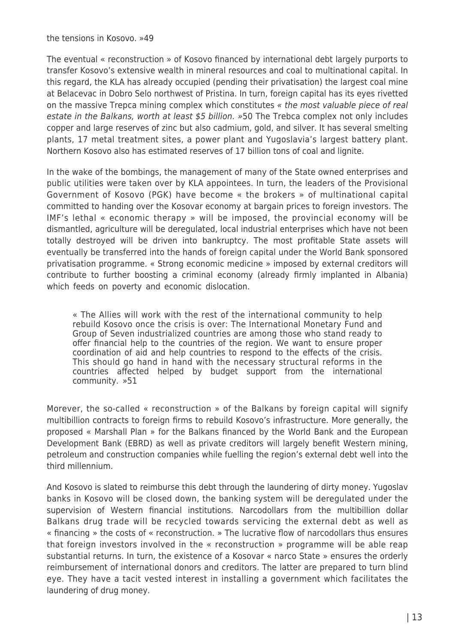the tensions in Kosovo. »49

The eventual « reconstruction » of Kosovo financed by international debt largely purports to transfer Kosovo's extensive wealth in mineral resources and coal to multinational capital. In this regard, the KLA has already occupied (pending their privatisation) the largest coal mine at Belacevac in Dobro Selo northwest of Pristina. In turn, foreign capital has its eyes rivetted on the massive Trepca mining complex which constitutes « the most valuable piece of real estate in the Balkans, worth at least \$5 billion. »50 The Trebca complex not only includes copper and large reserves of zinc but also cadmium, gold, and silver. It has several smelting plants, 17 metal treatment sites, a power plant and Yugoslavia's largest battery plant. Northern Kosovo also has estimated reserves of 17 billion tons of coal and lignite.

In the wake of the bombings, the management of many of the State owned enterprises and public utilities were taken over by KLA appointees. In turn, the leaders of the Provisional Government of Kosovo (PGK) have become « the brokers » of multinational capital committed to handing over the Kosovar economy at bargain prices to foreign investors. The IMF's lethal « economic therapy » will be imposed, the provincial economy will be dismantled, agriculture will be deregulated, local industrial enterprises which have not been totally destroyed will be driven into bankruptcy. The most profitable State assets will eventually be transferred into the hands of foreign capital under the World Bank sponsored privatisation programme. « Strong economic medicine » imposed by external creditors will contribute to further boosting a criminal economy (already firmly implanted in Albania) which feeds on poverty and economic dislocation.

« The Allies will work with the rest of the international community to help rebuild Kosovo once the crisis is over: The International Monetary Fund and Group of Seven industrialized countries are among those who stand ready to offer financial help to the countries of the region. We want to ensure proper coordination of aid and help countries to respond to the effects of the crisis. This should go hand in hand with the necessary structural reforms in the countries affected helped by budget support from the international community. »51

Morever, the so-called « reconstruction » of the Balkans by foreign capital will signify multibillion contracts to foreign firms to rebuild Kosovo's infrastructure. More generally, the proposed « Marshall Plan » for the Balkans financed by the World Bank and the European Development Bank (EBRD) as well as private creditors will largely benefit Western mining, petroleum and construction companies while fuelling the region's external debt well into the third millennium.

And Kosovo is slated to reimburse this debt through the laundering of dirty money. Yugoslav banks in Kosovo will be closed down, the banking system will be deregulated under the supervision of Western financial institutions. Narcodollars from the multibillion dollar Balkans drug trade will be recycled towards servicing the external debt as well as « financing » the costs of « reconstruction. » The lucrative flow of narcodollars thus ensures that foreign investors involved in the « reconstruction » programme will be able reap substantial returns. In turn, the existence of a Kosovar « narco State » ensures the orderly reimbursement of international donors and creditors. The latter are prepared to turn blind eye. They have a tacit vested interest in installing a government which facilitates the laundering of drug money.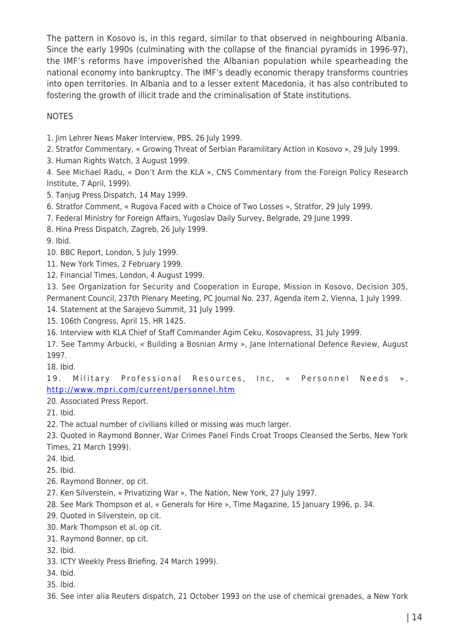The pattern in Kosovo is, in this regard, similar to that observed in neighbouring Albania. Since the early 1990s (culminating with the collapse of the financial pyramids in 1996-97), the IMF's reforms have impoverished the Albanian population while spearheading the national economy into bankruptcy. The IMF's deadly economic therapy transforms countries into open territories. In Albania and to a lesser extent Macedonia, it has also contributed to fostering the growth of illicit trade and the criminalisation of State institutions.

# **NOTES**

1. Jim Lehrer News Maker Interview, PBS, 26 July 1999.

2. Stratfor Commentary, « Growing Threat of Serbian Paramilitary Action in Kosovo », 29 July 1999.

3. Human Rights Watch, 3 August 1999.

4. See Michael Radu, « Don't Arm the KLA », CNS Commentary from the Foreign Policy Research Institute, 7 April, 1999).

5. Tanjug Press Dispatch, 14 May 1999.

6. Stratfor Comment, « Rugova Faced with a Choice of Two Losses », Stratfor, 29 July 1999.

7. Federal Ministry for Foreign Affairs, Yugoslav Daily Survey, Belgrade, 29 June 1999.

8. Hina Press Dispatch, Zagreb, 26 July 1999.

9. Ibid.

10. BBC Report, London, 5 July 1999.

11. New York Times, 2 February 1999.

12. Financial Times, London, 4 August 1999.

13. See Organization for Security and Cooperation in Europe, Mission in Kosovo, Decision 305, Permanent Council, 237th Plenary Meeting, PC Journal No. 237, Agenda item 2, Vienna, 1 July 1999.

14. Statement at the Sarajevo Summit, 31 July 1999.

15. 106th Congress, April 15, HR 1425.

16. Interview with KLA Chief of Staff Commander Agim Ceku, Kosovapress, 31 July 1999.

17. See Tammy Arbucki, « Building a Bosnian Army », Jane International Defence Review, August 1997.

18. Ibid.

19. Military Professional Resources, Inc, « Personnel Needs », <http://www.mpri.com/current/personnel.htm>

20. Associated Press Report.

21. Ibid.

22. The actual number of civilians killed or missing was much larger.

23. Quoted in Raymond Bonner, War Crimes Panel Finds Croat Troops Cleansed the Serbs, New York Times, 21 March 1999).

24. Ibid.

25. Ibid.

26. Raymond Bonner, op cit.

27. Ken Silverstein, « Privatizing War », The Nation, New York, 27 July 1997.

28. See Mark Thompson et al, « Generals for Hire », Time Magazine, 15 January 1996, p. 34.

29. Quoted in Silverstein, op cit.

30. Mark Thompson et al, op cit.

31. Raymond Bonner, op cit.

32. Ibid.

33. ICTY Weekly Press Briefing, 24 March 1999).

34. Ibid.

35. Ibid.

36. See inter alia Reuters dispatch, 21 October 1993 on the use of chemical grenades, a New York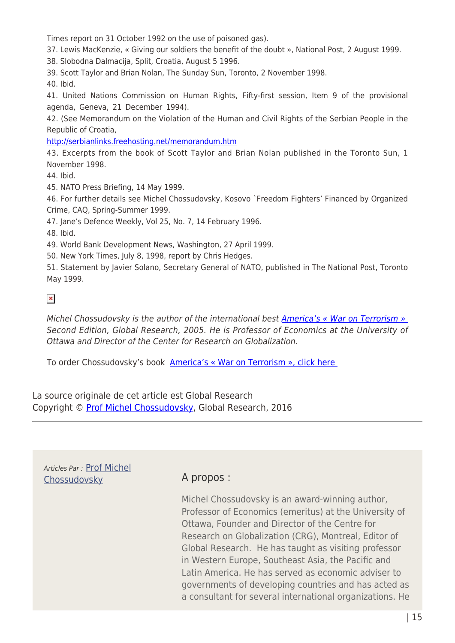Times report on 31 October 1992 on the use of poisoned gas).

37. Lewis MacKenzie, « Giving our soldiers the benefit of the doubt », National Post, 2 August 1999.

38. Slobodna Dalmacija, Split, Croatia, August 5 1996.

39. Scott Taylor and Brian Nolan, The Sunday Sun, Toronto, 2 November 1998.

40. Ibid.

41. United Nations Commission on Human Rights, Fifty-first session, Item 9 of the provisional agenda, Geneva, 21 December 1994).

42. (See Memorandum on the Violation of the Human and Civil Rights of the Serbian People in the Republic of Croatia,

<http://serbianlinks.freehosting.net/memorandum.htm>

43. Excerpts from the book of Scott Taylor and Brian Nolan published in the Toronto Sun, 1 November 1998.

44. Ibid.

45. NATO Press Briefing, 14 May 1999.

46. For further details see Michel Chossudovsky, Kosovo `Freedom Fighters' Financed by Organized Crime, CAQ, Spring-Summer 1999.

47. Jane's Defence Weekly, Vol 25, No. 7, 14 February 1996.

48. Ibid.

49. World Bank Development News, Washington, 27 April 1999.

50. New York Times, July 8, 1998, report by Chris Hedges.

51. Statement by Javier Solano, Secretary General of NATO, published in The National Post, Toronto May 1999.

 $\pmb{\times}$ 

Michel Chossudovsky is the author of the international best [America's « War on Terrorism »](http://www.globalresearch.ca/globaloutlook/truth911.html)  Second Edition, Global Research, 2005. He is Professor of Economics at the University of Ottawa and Director of the Center for Research on Globalization.

To order Chossudovsky's book America's « War on Terrorism », click here

La source originale de cet article est Global Research Copyright © [Prof Michel Chossudovsky](https://www.mondialisation.ca/author/michel-chossudovsky), Global Research, 2016

Articles Par : [Prof Michel](https://www.mondialisation.ca/author/michel-chossudovsky) [Chossudovsky](https://www.mondialisation.ca/author/michel-chossudovsky) **A propos :** 

Michel Chossudovsky is an award-winning author, Professor of Economics (emeritus) at the University of Ottawa, Founder and Director of the Centre for Research on Globalization (CRG), Montreal, Editor of Global Research. He has taught as visiting professor in Western Europe, Southeast Asia, the Pacific and Latin America. He has served as economic adviser to governments of developing countries and has acted as a consultant for several international organizations. He